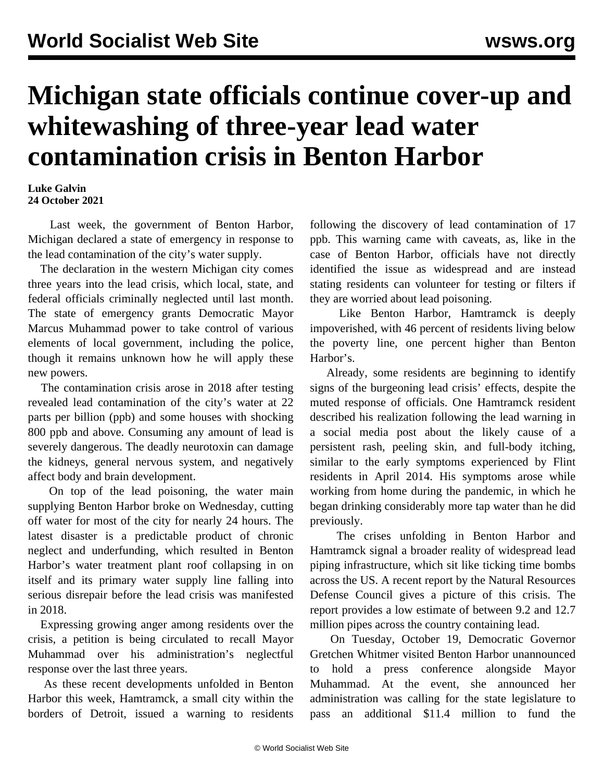## **Michigan state officials continue cover-up and whitewashing of three-year lead water contamination crisis in Benton Harbor**

## **Luke Galvin 24 October 2021**

 Last week, the government of Benton Harbor, Michigan declared a state of emergency in response to the lead contamination of the city's water supply.

 The declaration in the western Michigan city comes three years into the lead crisis, which local, state, and federal officials criminally neglected until last month. The state of emergency grants Democratic Mayor Marcus Muhammad power to take control of various elements of local government, including the police, though it remains unknown how he will apply these new powers.

 The contamination crisis arose in 2018 after testing revealed lead contamination of the city's water at 22 parts per billion (ppb) and some houses with shocking 800 ppb and above. Consuming any amount of lead is severely dangerous. The deadly neurotoxin can damage the kidneys, general nervous system, and negatively affect body and brain development.

 On top of the lead poisoning, the water main supplying Benton Harbor broke on Wednesday, cutting off water for most of the city for nearly 24 hours. The latest disaster is a predictable product of chronic neglect and underfunding, which resulted in Benton Harbor's water treatment plant roof collapsing in on itself and its primary water supply line falling into serious disrepair before the lead crisis was manifested in 2018.

 Expressing growing anger among residents over the crisis, a petition is being circulated to recall Mayor Muhammad over his administration's neglectful response over the last three years.

 As these recent developments unfolded in Benton Harbor this week, Hamtramck, a small city within the borders of Detroit, issued a warning to residents

following the discovery of lead contamination of 17 ppb. This warning came with caveats, as, like in the case of Benton Harbor, officials have not directly identified the issue as widespread and are instead stating residents can volunteer for testing or filters if they are worried about lead poisoning.

 Like Benton Harbor, Hamtramck is deeply impoverished, with 46 percent of residents living below the poverty line, one percent higher than Benton Harbor's.

 Already, some residents are beginning to identify signs of the burgeoning lead crisis' effects, despite the muted response of officials. One Hamtramck resident described his realization following the lead warning in a social media post about the likely cause of a persistent rash, peeling skin, and full-body itching, similar to the early symptoms experienced by Flint residents in April 2014. His symptoms arose while working from home during the pandemic, in which he began drinking considerably more tap water than he did previously.

 The crises unfolding in Benton Harbor and Hamtramck signal a broader reality of widespread lead piping infrastructure, which sit like ticking time bombs across the US. A recent report by the Natural Resources Defense Council gives a picture of this crisis. The report provides a low estimate of between 9.2 and 12.7 million pipes across the country containing lead.

 On Tuesday, October 19, Democratic Governor Gretchen Whitmer visited Benton Harbor unannounced to hold a press conference alongside Mayor Muhammad. At the event, she announced her administration was calling for the state legislature to pass an additional \$11.4 million to fund the